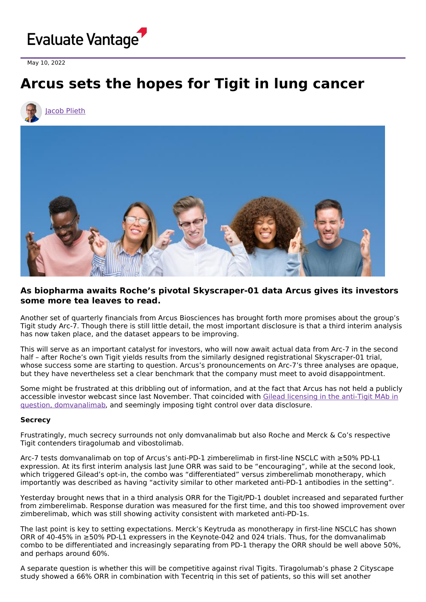

May 10, 2022

## **Arcus sets the hopes for Tigit in lung cancer**





## **As biopharma awaits Roche's pivotal Skyscraper-01 data Arcus gives its investors some more tea leaves to read.**

Another set of quarterly financials from Arcus Biosciences has brought forth more promises about the group's Tigit study Arc-7. Though there is still little detail, the most important disclosure is that a third interim analysis has now taken place, and the dataset appears to be improving.

This will serve as an important catalyst for investors, who will now await actual data from Arc-7 in the second half – after Roche's own Tigit yields results from the similarly designed registrational Skyscraper-01 trial, whose success some are starting to question. Arcus's pronouncements on Arc-7's three analyses are opaque, but they have nevertheless set a clear benchmark that the company must meet to avoid disappointment.

Some might be frustrated at this dribbling out of information, and at the fact that Arcus has not held a publicly accessible investor webcast since last November. That coincided with Gilead licensing in the anti-Tigit MAb in question, [domvanalimab,](https://www.evaluate.com/vantage/articles/news/deals/arcuss-near-dream-scenario) and seemingly imposing tight control over data disclosure.

## **Secrecy**

Frustratingly, much secrecy surrounds not only domvanalimab but also Roche and Merck & Co's respective Tigit contenders tiragolumab and vibostolimab.

Arc-7 tests domvanalimab on top of Arcus's anti-PD-1 zimberelimab in first-line NSCLC with ≥50% PD-L1 expression. At its first interim analysis last June ORR was said to be "encouraging", while at the second look, which triggered Gilead's opt-in, the combo was "differentiated" versus zimberelimab monotherapy, which importantly was described as having "activity similar to other marketed anti-PD-1 antibodies in the setting".

Yesterday brought news that in a third analysis ORR for the Tigit/PD-1 doublet increased and separated further from zimberelimab. Response duration was measured for the first time, and this too showed improvement over zimberelimab, which was still showing activity consistent with marketed anti-PD-1s.

The last point is key to setting expectations. Merck's Keytruda as monotherapy in first-line NSCLC has shown ORR of 40-45% in ≥50% PD-L1 expressers in the Keynote-042 and 024 trials. Thus, for the domvanalimab combo to be differentiated and increasingly separating from PD-1 therapy the ORR should be well above 50%, and perhaps around 60%.

A separate question is whether this will be competitive against rival Tigits. Tiragolumab's phase 2 Cityscape study showed a 66% ORR in combination with Tecentriq in this set of patients, so this will set another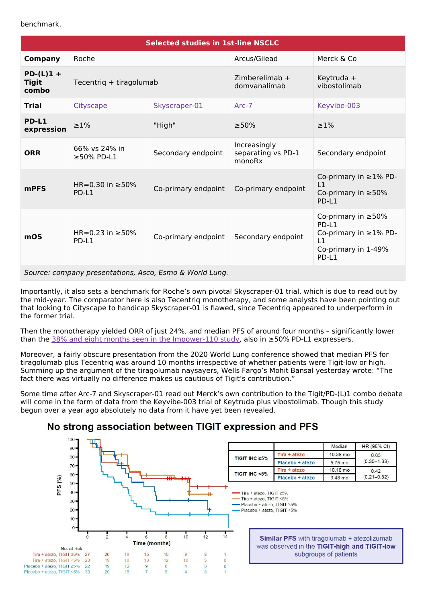| <b>Selected studies in 1st-line NSCLC</b> |                                |                     |                                              |                                                                                                   |
|-------------------------------------------|--------------------------------|---------------------|----------------------------------------------|---------------------------------------------------------------------------------------------------|
| <b>Company</b>                            | Roche                          |                     | Arcus/Gilead                                 | Merck & Co                                                                                        |
| $PD-(L)1 +$<br><b>Tigit</b><br>combo      | Tecentrig + tiragolumab        |                     | $Zimberelimab +$<br>domvanalimab             | Keytruda +<br>vibostolimab                                                                        |
| <b>Trial</b>                              | Cityscape                      | Skyscraper-01       | $Arc-7$                                      | Keyvibe-003                                                                                       |
| PD-L1<br>expression                       | $\geq$ 1%                      | "High"              | $\geq 50\%$                                  | $\geq$ 1%                                                                                         |
| <b>ORR</b>                                | 66% vs 24% in<br>≥50% PD-L1    | Secondary endpoint  | Increasingly<br>separating vs PD-1<br>monoRx | Secondary endpoint                                                                                |
| <b>mPFS</b>                               | HR=0.30 in $\geq$ 50%<br>PD-L1 | Co-primary endpoint | Co-primary endpoint                          | Co-primary in $\geq$ 1% PD-<br>L1<br>Co-primary in $\geq 50\%$<br>PD-L1                           |
| mOS                                       | HR=0.23 in $\geq$ 50%<br>PD-L1 | Co-primary endpoint | Secondary endpoint                           | Co-primary in $\geq 50\%$<br>PD-L1<br>Co-primary in ≥1% PD-<br>L1<br>Co-primary in 1-49%<br>PD-L1 |

Source: company presentations, Asco, Esmo & World Lung.

Importantly, it also sets a benchmark for Roche's own pivotal Skyscraper-01 trial, which is due to read out by the mid-year. The comparator here is also Tecentriq monotherapy, and some analysts have been pointing out that looking to Cityscape to handicap Skyscraper-01 is flawed, since Tecentriq appeared to underperform in the former trial.

Then the monotherapy yielded ORR of just 24%, and median PFS of around four months – significantly lower than the 38% and eight months seen in the [Impower-110](file:///C:/Users/JacobP/Downloads/ESMO-2019-presentation-herbst-impower110-interim-os-analysis-of-a-phase-III-study-of-atezolizumab-monotherapy-vs-platinum-based-chemotherapy-as-1l-treatment-in-pd-l1-selected-nsclc%20(1).pdf) study, also in ≥50% PD-L1 expressers.

Moreover, a fairly obscure presentation from the 2020 World Lung conference showed that median PFS for tiragolumab plus Tecentriq was around 10 months irrespective of whether patients were Tigit-low or high. Summing up the argument of the tiragolumab naysayers, Wells Fargo's Mohit Bansal yesterday wrote: "The fact there was virtually no difference makes us cautious of Tigit's contribution."

Some time after Arc-7 and Skyscraper-01 read out Merck's own contribution to the Tigit/PD-(L)1 combo debate will come in the form of data from the Keyvibe-003 trial of Keytruda plus vibostolimab. Though this study begun over a year ago absolutely no data from it have yet been revealed.

## No strong association between TIGIT expression and PFS